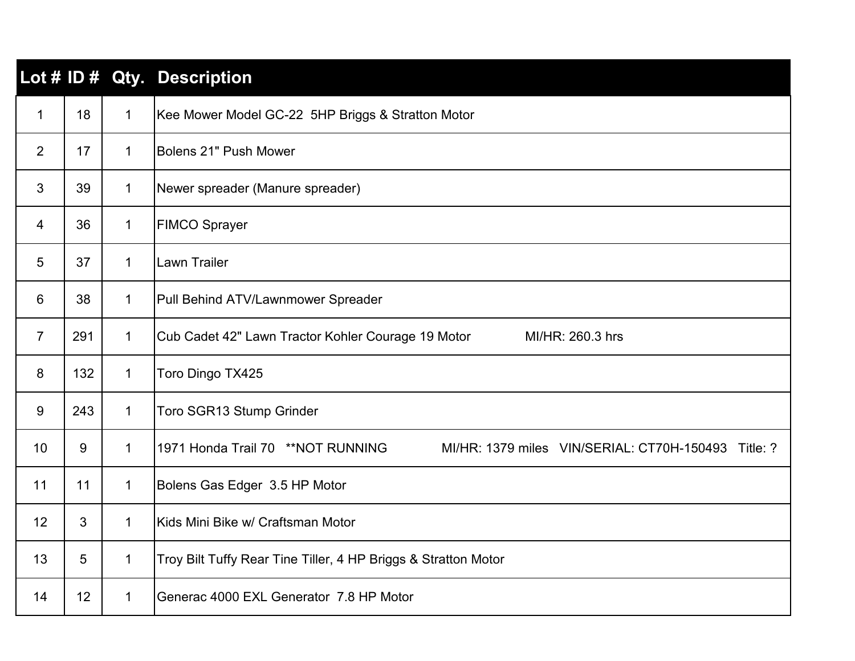|                |                 |              | Lot # ID # Qty. Description                                                               |
|----------------|-----------------|--------------|-------------------------------------------------------------------------------------------|
| 1              | 18              | $\mathbf 1$  | Kee Mower Model GC-22 5HP Briggs & Stratton Motor                                         |
| $\overline{2}$ | 17              | $\mathbf{1}$ | Bolens 21" Push Mower                                                                     |
| 3              | 39              | $\mathbf 1$  | Newer spreader (Manure spreader)                                                          |
| 4              | 36              | $\mathbf 1$  | <b>FIMCO Sprayer</b>                                                                      |
| 5              | 37              | $\mathbf{1}$ | <b>Lawn Trailer</b>                                                                       |
| 6              | 38              | $\mathbf 1$  | Pull Behind ATV/Lawnmower Spreader                                                        |
| $\overline{7}$ | 291             | $\mathbf 1$  | Cub Cadet 42" Lawn Tractor Kohler Courage 19 Motor<br>MI/HR: 260.3 hrs                    |
| 8              | 132             | $\mathbf 1$  | Toro Dingo TX425                                                                          |
| 9              | 243             | $\mathbf{1}$ | Toro SGR13 Stump Grinder                                                                  |
| 10             | 9               | $\mathbf{1}$ | 1971 Honda Trail 70 ** NOT RUNNING<br>MI/HR: 1379 miles VIN/SERIAL: CT70H-150493 Title: ? |
| 11             | 11              | $\mathbf 1$  | Bolens Gas Edger 3.5 HP Motor                                                             |
| 12             | 3               | $\mathbf{1}$ | Kids Mini Bike w/ Craftsman Motor                                                         |
| 13             | 5               | $\mathbf 1$  | Troy Bilt Tuffy Rear Tine Tiller, 4 HP Briggs & Stratton Motor                            |
| 14             | 12 <sup>2</sup> | 1            | Generac 4000 EXL Generator 7.8 HP Motor                                                   |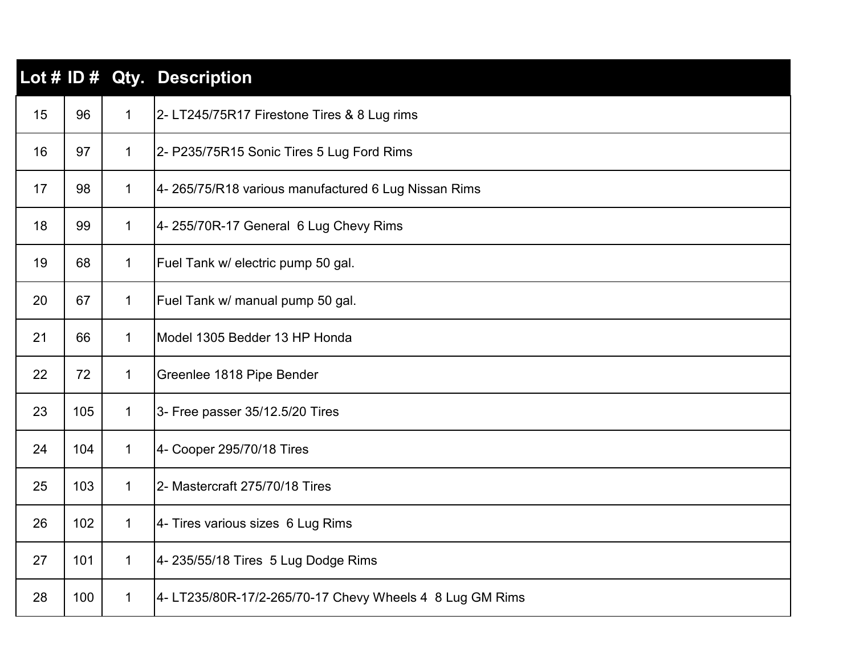|    |     |              | Lot # ID # Qty. Description                              |
|----|-----|--------------|----------------------------------------------------------|
| 15 | 96  | $\mathbf 1$  | 2-LT245/75R17 Firestone Tires & 8 Lug rims               |
| 16 | 97  | 1            | 2- P235/75R15 Sonic Tires 5 Lug Ford Rims                |
| 17 | 98  | 1            | 4- 265/75/R18 various manufactured 6 Lug Nissan Rims     |
| 18 | 99  | $\mathbf 1$  | 4-255/70R-17 General 6 Lug Chevy Rims                    |
| 19 | 68  | 1            | Fuel Tank w/ electric pump 50 gal.                       |
| 20 | 67  | 1            | Fuel Tank w/ manual pump 50 gal.                         |
| 21 | 66  | $\mathbf 1$  | Model 1305 Bedder 13 HP Honda                            |
| 22 | 72  | $\mathbf 1$  | Greenlee 1818 Pipe Bender                                |
| 23 | 105 | 1            | 3- Free passer 35/12.5/20 Tires                          |
| 24 | 104 | 1            | 4- Cooper 295/70/18 Tires                                |
| 25 | 103 | $\mathbf 1$  | 2- Mastercraft 275/70/18 Tires                           |
| 26 | 102 | $\mathbf 1$  | 4- Tires various sizes 6 Lug Rims                        |
| 27 | 101 | 1            | 4- 235/55/18 Tires 5 Lug Dodge Rims                      |
| 28 | 100 | $\mathbf{1}$ | 4- LT235/80R-17/2-265/70-17 Chevy Wheels 4 8 Lug GM Rims |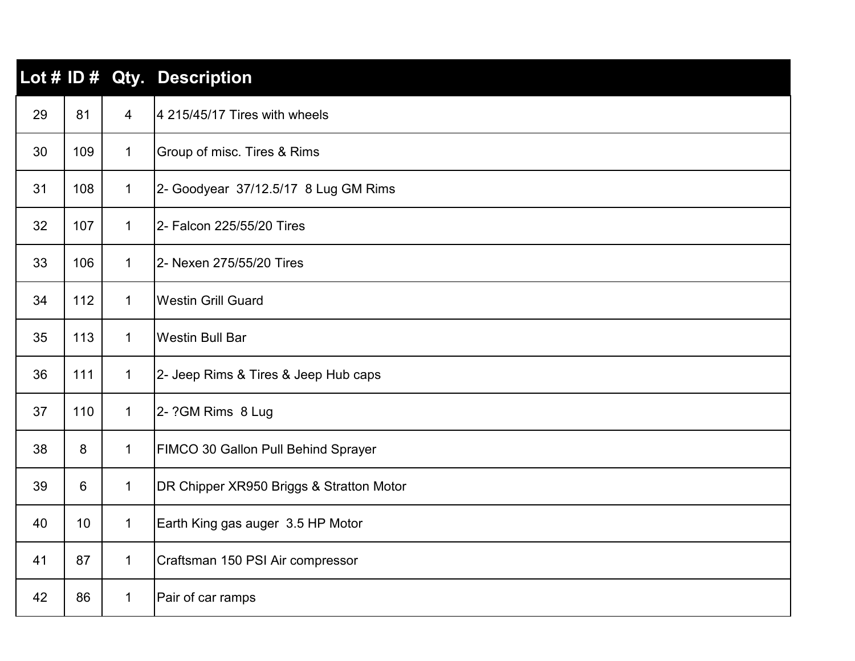|    |     |                | Lot # ID # Qty. Description              |
|----|-----|----------------|------------------------------------------|
| 29 | 81  | $\overline{4}$ | 4 215/45/17 Tires with wheels            |
| 30 | 109 | $\mathbf{1}$   | Group of misc. Tires & Rims              |
| 31 | 108 | $\mathbf{1}$   | 2- Goodyear 37/12.5/17 8 Lug GM Rims     |
| 32 | 107 | $\mathbf{1}$   | 2- Falcon 225/55/20 Tires                |
| 33 | 106 | $\mathbf{1}$   | 2- Nexen 275/55/20 Tires                 |
| 34 | 112 | $\mathbf{1}$   | <b>Westin Grill Guard</b>                |
| 35 | 113 | $\mathbf{1}$   | <b>Westin Bull Bar</b>                   |
| 36 | 111 | $\mathbf{1}$   | 2- Jeep Rims & Tires & Jeep Hub caps     |
| 37 | 110 | $\mathbf{1}$   | 2- ?GM Rims 8 Lug                        |
| 38 | 8   | $\mathbf{1}$   | FIMCO 30 Gallon Pull Behind Sprayer      |
| 39 | 6   | $\mathbf{1}$   | DR Chipper XR950 Briggs & Stratton Motor |
| 40 | 10  | $\mathbf{1}$   | Earth King gas auger 3.5 HP Motor        |
| 41 | 87  | $\mathbf{1}$   | Craftsman 150 PSI Air compressor         |
| 42 | 86  | $\mathbf{1}$   | Pair of car ramps                        |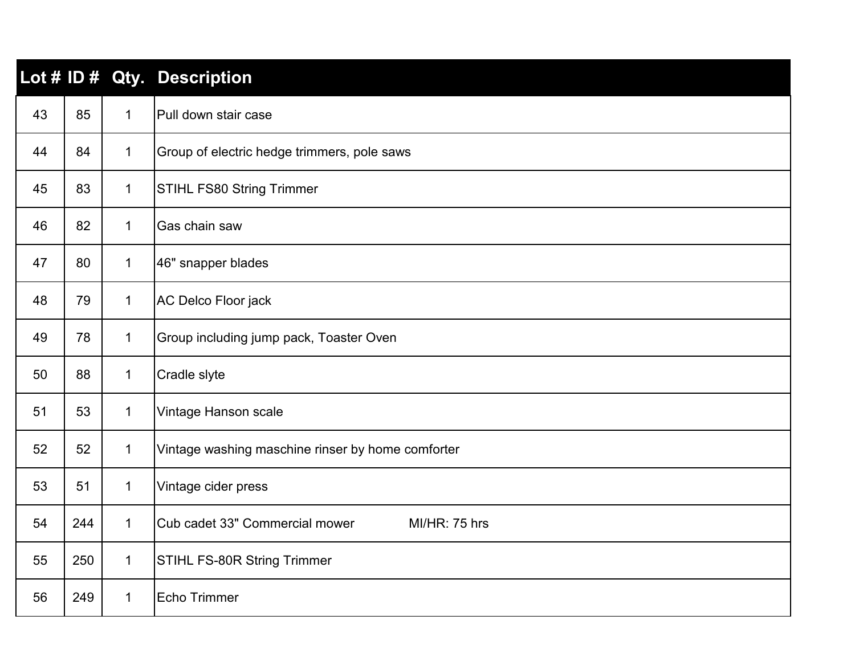|    |     |              | Lot # ID # Qty. Description                            |
|----|-----|--------------|--------------------------------------------------------|
| 43 | 85  | $\mathbf{1}$ | Pull down stair case                                   |
| 44 | 84  | $\mathbf{1}$ | Group of electric hedge trimmers, pole saws            |
| 45 | 83  | $\mathbf{1}$ | <b>STIHL FS80 String Trimmer</b>                       |
| 46 | 82  | $\mathbf{1}$ | Gas chain saw                                          |
| 47 | 80  | $\mathbf{1}$ | 46" snapper blades                                     |
| 48 | 79  | $\mathbf{1}$ | AC Delco Floor jack                                    |
| 49 | 78  | $\mathbf{1}$ | Group including jump pack, Toaster Oven                |
| 50 | 88  | $\mathbf 1$  | Cradle slyte                                           |
| 51 | 53  | $\mathbf 1$  | Vintage Hanson scale                                   |
| 52 | 52  | $\mathbf{1}$ | Vintage washing maschine rinser by home comforter      |
| 53 | 51  | $\mathbf{1}$ | Vintage cider press                                    |
| 54 | 244 | $\mathbf{1}$ | Cub cadet 33" Commercial mower<br><b>MI/HR: 75 hrs</b> |
| 55 | 250 | $\mathbf{1}$ | <b>STIHL FS-80R String Trimmer</b>                     |
| 56 | 249 | $\mathbf{1}$ | Echo Trimmer                                           |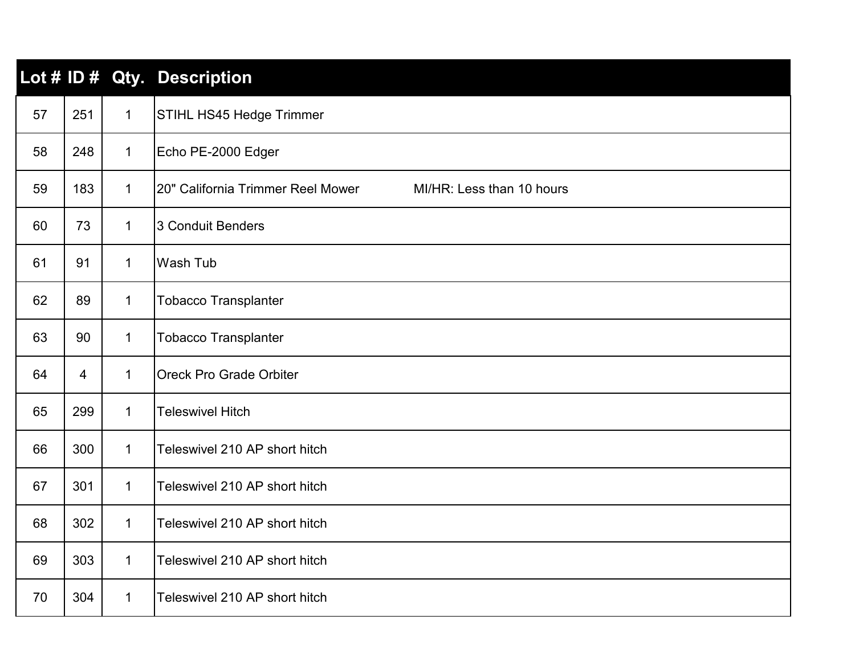|    |     |              | Lot # ID # Qty. Description                                    |
|----|-----|--------------|----------------------------------------------------------------|
| 57 | 251 | $\mathbf{1}$ | STIHL HS45 Hedge Trimmer                                       |
| 58 | 248 | $\mathbf{1}$ | Echo PE-2000 Edger                                             |
| 59 | 183 | $\mathbf{1}$ | 20" California Trimmer Reel Mower<br>MI/HR: Less than 10 hours |
| 60 | 73  | $\mathbf{1}$ | 3 Conduit Benders                                              |
| 61 | 91  | $\mathbf{1}$ | Wash Tub                                                       |
| 62 | 89  | $\mathbf{1}$ | <b>Tobacco Transplanter</b>                                    |
| 63 | 90  | $\mathbf 1$  | <b>Tobacco Transplanter</b>                                    |
| 64 | 4   | $\mathbf 1$  | <b>Oreck Pro Grade Orbiter</b>                                 |
| 65 | 299 | $\mathbf{1}$ | <b>Teleswivel Hitch</b>                                        |
| 66 | 300 | $\mathbf{1}$ | Teleswivel 210 AP short hitch                                  |
| 67 | 301 | $\mathbf{1}$ | Teleswivel 210 AP short hitch                                  |
| 68 | 302 | $\mathbf{1}$ | Teleswivel 210 AP short hitch                                  |
| 69 | 303 | $\mathbf{1}$ | Teleswivel 210 AP short hitch                                  |
| 70 | 304 | $\mathbf{1}$ | Teleswivel 210 AP short hitch                                  |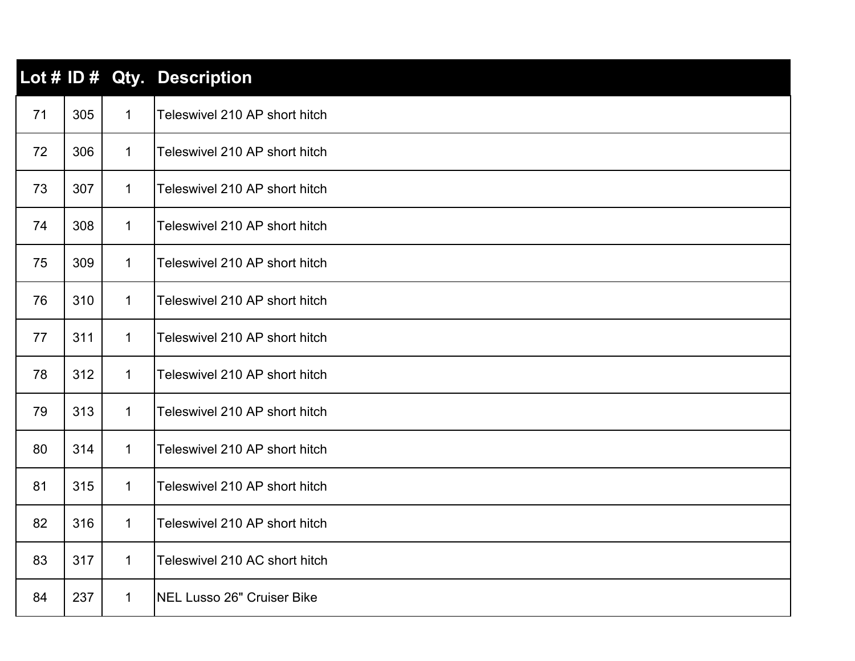|    |     |              | Lot # ID # Qty. Description   |
|----|-----|--------------|-------------------------------|
| 71 | 305 | $\mathbf{1}$ | Teleswivel 210 AP short hitch |
| 72 | 306 | $\mathbf{1}$ | Teleswivel 210 AP short hitch |
| 73 | 307 | $\mathbf{1}$ | Teleswivel 210 AP short hitch |
| 74 | 308 | $\mathbf{1}$ | Teleswivel 210 AP short hitch |
| 75 | 309 | $\mathbf{1}$ | Teleswivel 210 AP short hitch |
| 76 | 310 | $\mathbf{1}$ | Teleswivel 210 AP short hitch |
| 77 | 311 | $\mathbf{1}$ | Teleswivel 210 AP short hitch |
| 78 | 312 | $\mathbf{1}$ | Teleswivel 210 AP short hitch |
| 79 | 313 | $\mathbf 1$  | Teleswivel 210 AP short hitch |
| 80 | 314 | $\mathbf{1}$ | Teleswivel 210 AP short hitch |
| 81 | 315 | $\mathbf{1}$ | Teleswivel 210 AP short hitch |
| 82 | 316 | $\mathbf{1}$ | Teleswivel 210 AP short hitch |
| 83 | 317 | $\mathbf{1}$ | Teleswivel 210 AC short hitch |
| 84 | 237 | $\mathbf{1}$ | NEL Lusso 26" Cruiser Bike    |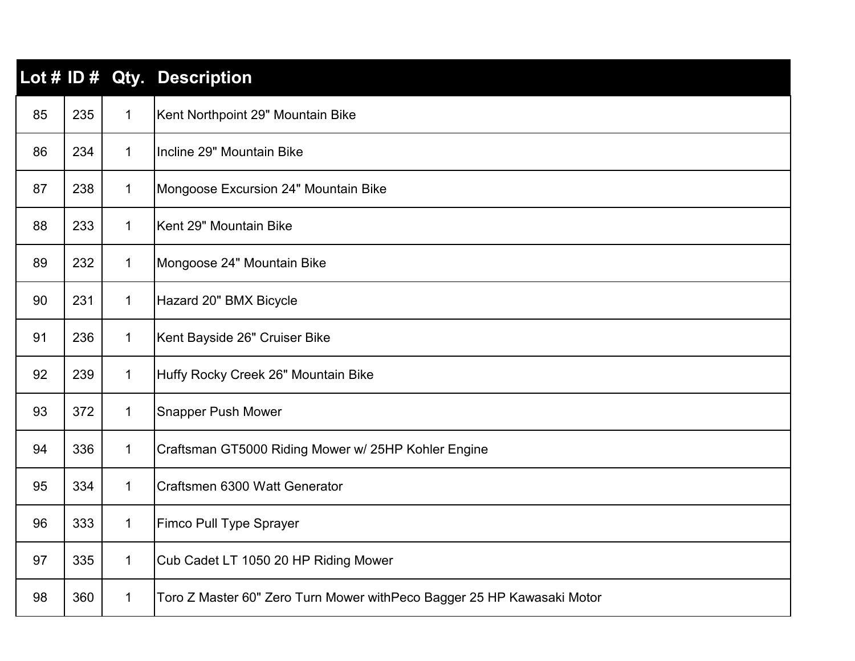|    |     |              | Lot # ID # Qty. Description                                             |
|----|-----|--------------|-------------------------------------------------------------------------|
| 85 | 235 | $\mathbf{1}$ | Kent Northpoint 29" Mountain Bike                                       |
| 86 | 234 | $\mathbf{1}$ | Incline 29" Mountain Bike                                               |
| 87 | 238 | $\mathbf{1}$ | Mongoose Excursion 24" Mountain Bike                                    |
| 88 | 233 | $\mathbf{1}$ | Kent 29" Mountain Bike                                                  |
| 89 | 232 | 1            | Mongoose 24" Mountain Bike                                              |
| 90 | 231 | $\mathbf{1}$ | Hazard 20" BMX Bicycle                                                  |
| 91 | 236 | $\mathbf{1}$ | Kent Bayside 26" Cruiser Bike                                           |
| 92 | 239 | $\mathbf{1}$ | Huffy Rocky Creek 26" Mountain Bike                                     |
| 93 | 372 | $\mathbf{1}$ | <b>Snapper Push Mower</b>                                               |
| 94 | 336 | $\mathbf{1}$ | Craftsman GT5000 Riding Mower w/ 25HP Kohler Engine                     |
| 95 | 334 | $\mathbf{1}$ | Craftsmen 6300 Watt Generator                                           |
| 96 | 333 | $\mathbf{1}$ | Fimco Pull Type Sprayer                                                 |
| 97 | 335 | $\mathbf{1}$ | Cub Cadet LT 1050 20 HP Riding Mower                                    |
| 98 | 360 | $\mathbf{1}$ | Toro Z Master 60" Zero Turn Mower with Peco Bagger 25 HP Kawasaki Motor |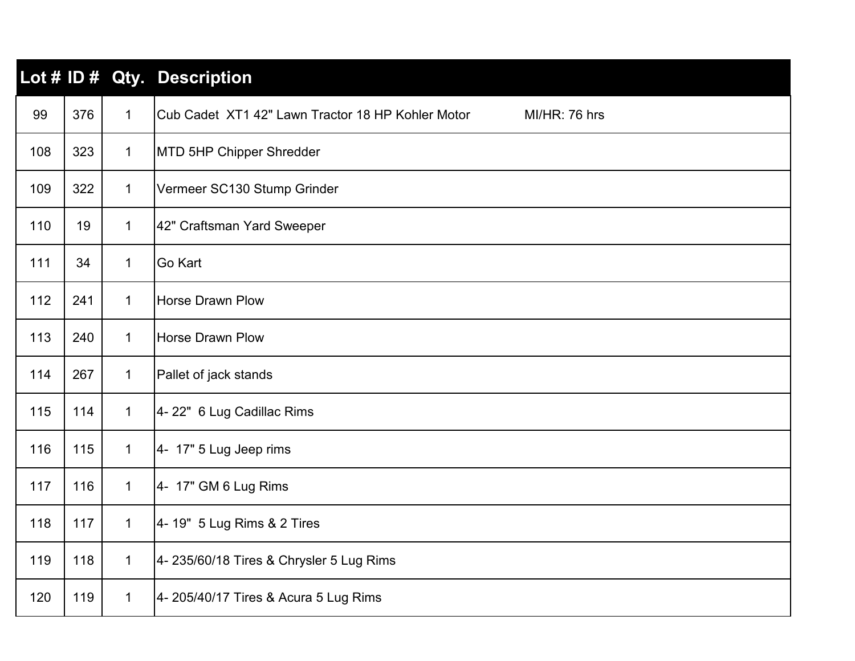|     |     |              | Lot # ID # Qty. Description                                        |
|-----|-----|--------------|--------------------------------------------------------------------|
| 99  | 376 | $\mathbf{1}$ | Cub Cadet XT1 42" Lawn Tractor 18 HP Kohler Motor<br>MI/HR: 76 hrs |
| 108 | 323 | $\mathbf{1}$ | MTD 5HP Chipper Shredder                                           |
| 109 | 322 | $\mathbf 1$  | Vermeer SC130 Stump Grinder                                        |
| 110 | 19  | $\mathbf 1$  | 42" Craftsman Yard Sweeper                                         |
| 111 | 34  | $\mathbf 1$  | Go Kart                                                            |
| 112 | 241 | $\mathbf 1$  | <b>Horse Drawn Plow</b>                                            |
| 113 | 240 | $\mathbf{1}$ | <b>Horse Drawn Plow</b>                                            |
| 114 | 267 | $\mathbf{1}$ | Pallet of jack stands                                              |
| 115 | 114 | $\mathbf{1}$ | 4-22" 6 Lug Cadillac Rims                                          |
| 116 | 115 | $\mathbf{1}$ | 4- 17" 5 Lug Jeep rims                                             |
| 117 | 116 | $\mathbf{1}$ | 4- 17" GM 6 Lug Rims                                               |
| 118 | 117 | $\mathbf{1}$ | 4- 19" 5 Lug Rims & 2 Tires                                        |
| 119 | 118 | $\mathbf{1}$ | 4- 235/60/18 Tires & Chrysler 5 Lug Rims                           |
| 120 | 119 | $\mathbf 1$  | 4- 205/40/17 Tires & Acura 5 Lug Rims                              |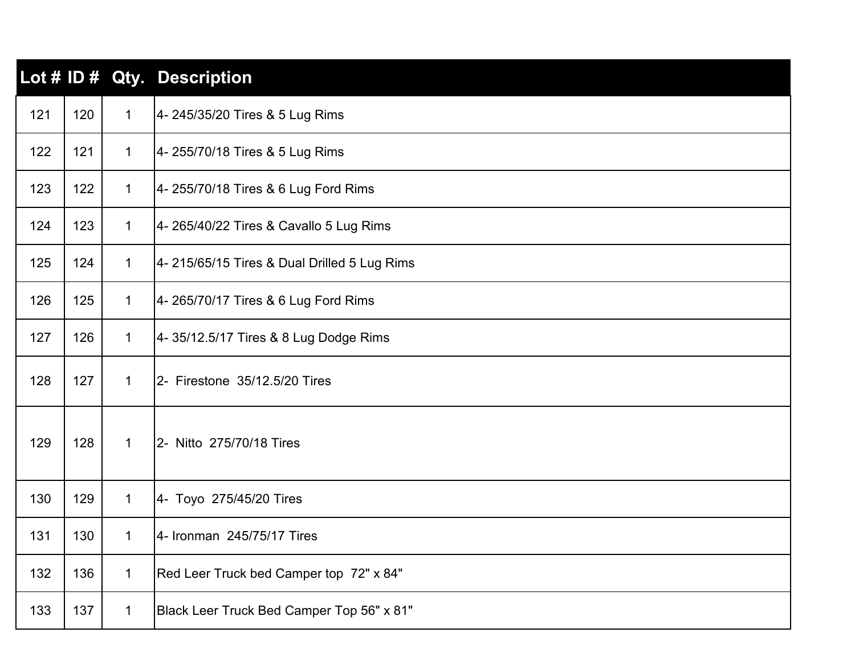|     |     |              | Lot # ID # Qty. Description                  |
|-----|-----|--------------|----------------------------------------------|
| 121 | 120 | $\mathbf{1}$ | 4- 245/35/20 Tires & 5 Lug Rims              |
| 122 | 121 | $\mathbf{1}$ | 4- 255/70/18 Tires & 5 Lug Rims              |
| 123 | 122 | $\mathbf{1}$ | 4- 255/70/18 Tires & 6 Lug Ford Rims         |
| 124 | 123 | $\mathbf{1}$ | 4- 265/40/22 Tires & Cavallo 5 Lug Rims      |
| 125 | 124 | $\mathbf{1}$ | 4- 215/65/15 Tires & Dual Drilled 5 Lug Rims |
| 126 | 125 | $\mathbf{1}$ | 4- 265/70/17 Tires & 6 Lug Ford Rims         |
| 127 | 126 | $\mathbf{1}$ | 4-35/12.5/17 Tires & 8 Lug Dodge Rims        |
| 128 | 127 | $\mathbf{1}$ | 2- Firestone 35/12.5/20 Tires                |
| 129 | 128 | $\mathbf{1}$ | 2- Nitto 275/70/18 Tires                     |
| 130 | 129 | $\mathbf{1}$ | 4- Toyo 275/45/20 Tires                      |
| 131 | 130 | $\mathbf 1$  | 4- Ironman 245/75/17 Tires                   |
| 132 | 136 | $\mathbf 1$  | Red Leer Truck bed Camper top 72" x 84"      |
| 133 | 137 | $\mathbf 1$  | Black Leer Truck Bed Camper Top 56" x 81"    |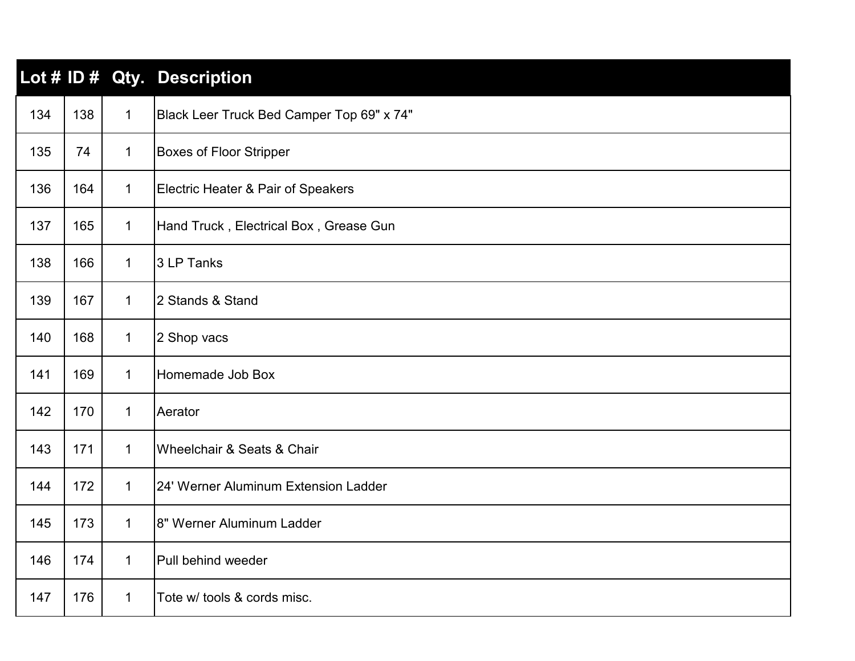|     |     |              | Lot # ID # Qty. Description                   |
|-----|-----|--------------|-----------------------------------------------|
| 134 | 138 | $\mathbf{1}$ | Black Leer Truck Bed Camper Top 69" x 74"     |
| 135 | 74  | $\mathbf 1$  | <b>Boxes of Floor Stripper</b>                |
| 136 | 164 | $\mathbf 1$  | <b>Electric Heater &amp; Pair of Speakers</b> |
| 137 | 165 | $\mathbf{1}$ | Hand Truck, Electrical Box, Grease Gun        |
| 138 | 166 | $\mathbf{1}$ | 3 LP Tanks                                    |
| 139 | 167 | $\mathbf 1$  | 2 Stands & Stand                              |
| 140 | 168 | $\mathbf{1}$ | 2 Shop vacs                                   |
| 141 | 169 | $\mathbf{1}$ | Homemade Job Box                              |
| 142 | 170 | $\mathbf{1}$ | Aerator                                       |
| 143 | 171 | $\mathbf{1}$ | Wheelchair & Seats & Chair                    |
| 144 | 172 | $\mathbf 1$  | 24' Werner Aluminum Extension Ladder          |
| 145 | 173 | $\mathbf{1}$ | 8" Werner Aluminum Ladder                     |
| 146 | 174 | $\mathbf 1$  | Pull behind weeder                            |
| 147 | 176 | $\mathbf 1$  | Tote w/ tools & cords misc.                   |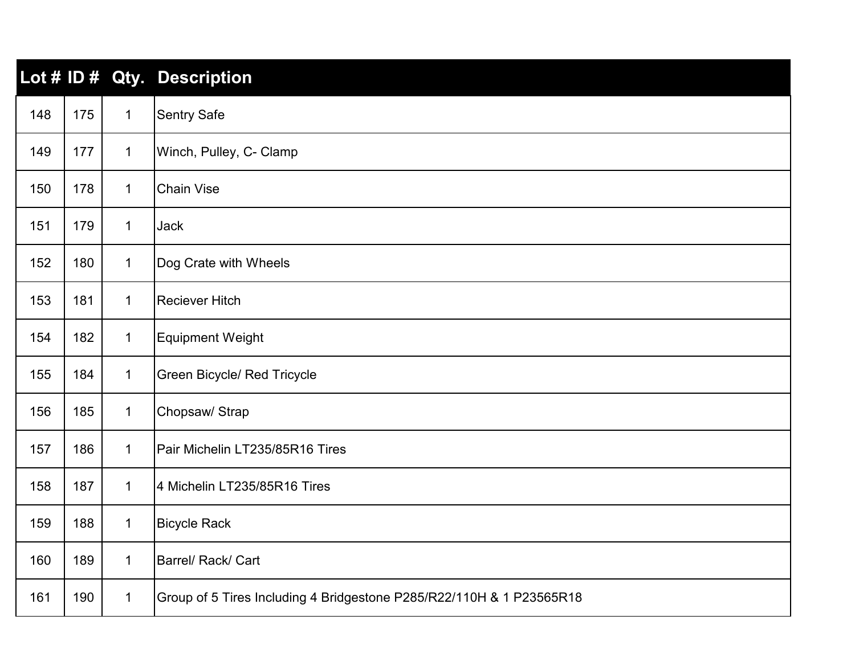|     |     |              | Lot # ID # Qty. Description                                          |
|-----|-----|--------------|----------------------------------------------------------------------|
| 148 | 175 | $\mathbf 1$  | <b>Sentry Safe</b>                                                   |
| 149 | 177 | $\mathbf 1$  | Winch, Pulley, C- Clamp                                              |
| 150 | 178 | $\mathbf 1$  | <b>Chain Vise</b>                                                    |
| 151 | 179 | $\mathbf{1}$ | <b>Jack</b>                                                          |
| 152 | 180 | $\mathbf{1}$ | Dog Crate with Wheels                                                |
| 153 | 181 | $\mathbf{1}$ | <b>Reciever Hitch</b>                                                |
| 154 | 182 | $\mathbf{1}$ | <b>Equipment Weight</b>                                              |
| 155 | 184 | $\mathbf{1}$ | Green Bicycle/ Red Tricycle                                          |
| 156 | 185 | $\mathbf{1}$ | Chopsaw/ Strap                                                       |
| 157 | 186 | $\mathbf 1$  | Pair Michelin LT235/85R16 Tires                                      |
| 158 | 187 | $\mathbf{1}$ | 4 Michelin LT235/85R16 Tires                                         |
| 159 | 188 | $\mathbf{1}$ | <b>Bicycle Rack</b>                                                  |
| 160 | 189 | $\mathbf{1}$ | Barrel/ Rack/ Cart                                                   |
| 161 | 190 | $\mathbf{1}$ | Group of 5 Tires Including 4 Bridgestone P285/R22/110H & 1 P23565R18 |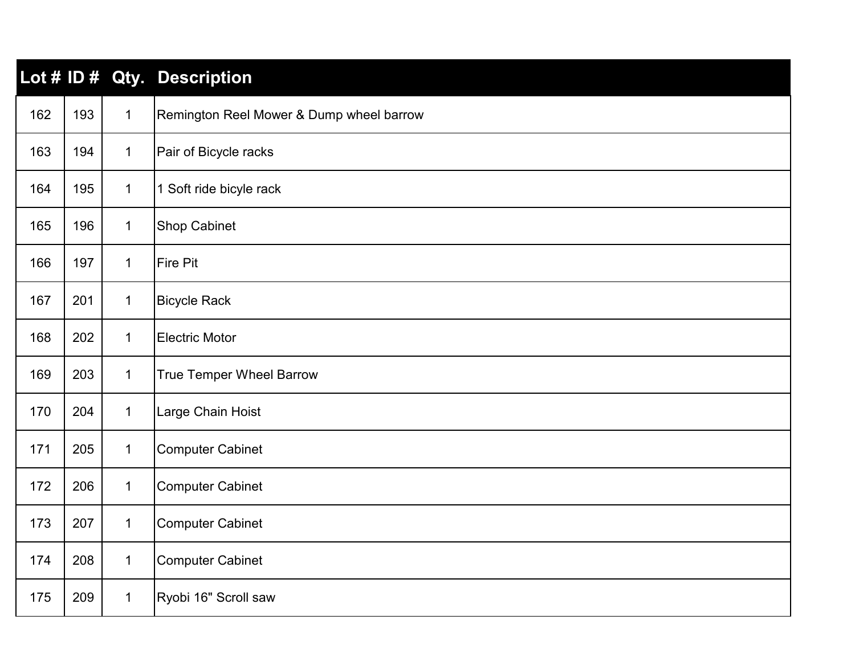|     |     |              | Lot # ID # Qty. Description              |
|-----|-----|--------------|------------------------------------------|
| 162 | 193 | $\mathbf{1}$ | Remington Reel Mower & Dump wheel barrow |
| 163 | 194 | $\mathbf{1}$ | Pair of Bicycle racks                    |
| 164 | 195 | $\mathbf{1}$ | 1 Soft ride bicyle rack                  |
| 165 | 196 | $\mathbf{1}$ | <b>Shop Cabinet</b>                      |
| 166 | 197 | $\mathbf{1}$ | Fire Pit                                 |
| 167 | 201 | $\mathbf{1}$ | <b>Bicycle Rack</b>                      |
| 168 | 202 | $\mathbf{1}$ | <b>Electric Motor</b>                    |
| 169 | 203 | $\mathbf{1}$ | <b>True Temper Wheel Barrow</b>          |
| 170 | 204 | $\mathbf{1}$ | Large Chain Hoist                        |
| 171 | 205 | $\mathbf{1}$ | <b>Computer Cabinet</b>                  |
| 172 | 206 | $\mathbf{1}$ | <b>Computer Cabinet</b>                  |
| 173 | 207 | $\mathbf{1}$ | <b>Computer Cabinet</b>                  |
| 174 | 208 | $\mathbf{1}$ | <b>Computer Cabinet</b>                  |
| 175 | 209 | $\mathbf{1}$ | Ryobi 16" Scroll saw                     |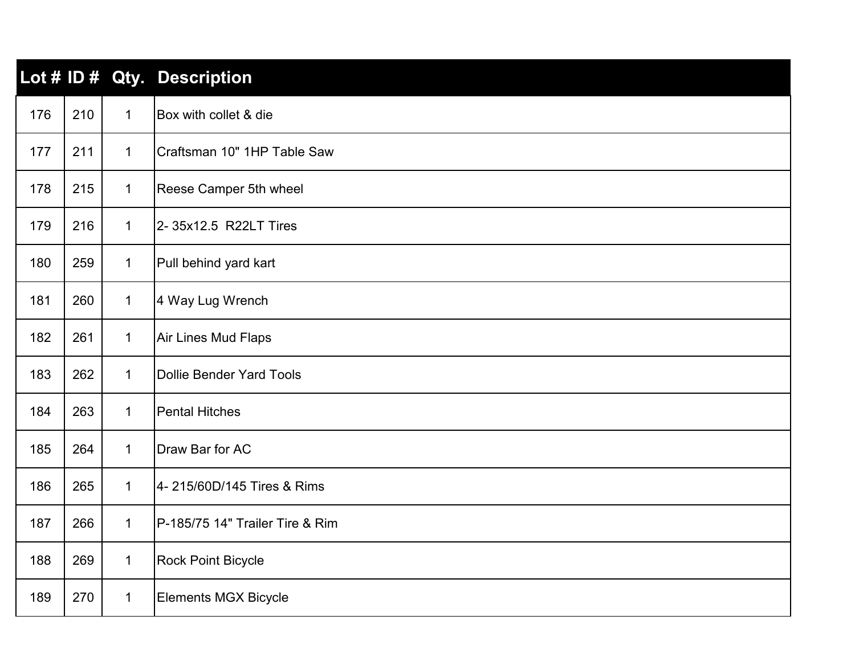|     |     |              | Lot # ID # Qty. Description     |
|-----|-----|--------------|---------------------------------|
| 176 | 210 | $\mathbf{1}$ | Box with collet & die           |
| 177 | 211 | $\mathbf 1$  | Craftsman 10" 1HP Table Saw     |
| 178 | 215 | $\mathbf 1$  | Reese Camper 5th wheel          |
| 179 | 216 | $\mathbf{1}$ | 2-35x12.5 R22LT Tires           |
| 180 | 259 | $\mathbf{1}$ | Pull behind yard kart           |
| 181 | 260 | $\mathbf{1}$ | 4 Way Lug Wrench                |
| 182 | 261 | $\mathbf{1}$ | <b>Air Lines Mud Flaps</b>      |
| 183 | 262 | $\mathbf 1$  | <b>Dollie Bender Yard Tools</b> |
| 184 | 263 | $\mathbf{1}$ | <b>Pental Hitches</b>           |
| 185 | 264 | $\mathbf{1}$ | Draw Bar for AC                 |
| 186 | 265 | $\mathbf{1}$ | 4-215/60D/145 Tires & Rims      |
| 187 | 266 | $\mathbf{1}$ | P-185/75 14" Trailer Tire & Rim |
| 188 | 269 | $\mathbf{1}$ | <b>Rock Point Bicycle</b>       |
| 189 | 270 | $\mathbf{1}$ | <b>Elements MGX Bicycle</b>     |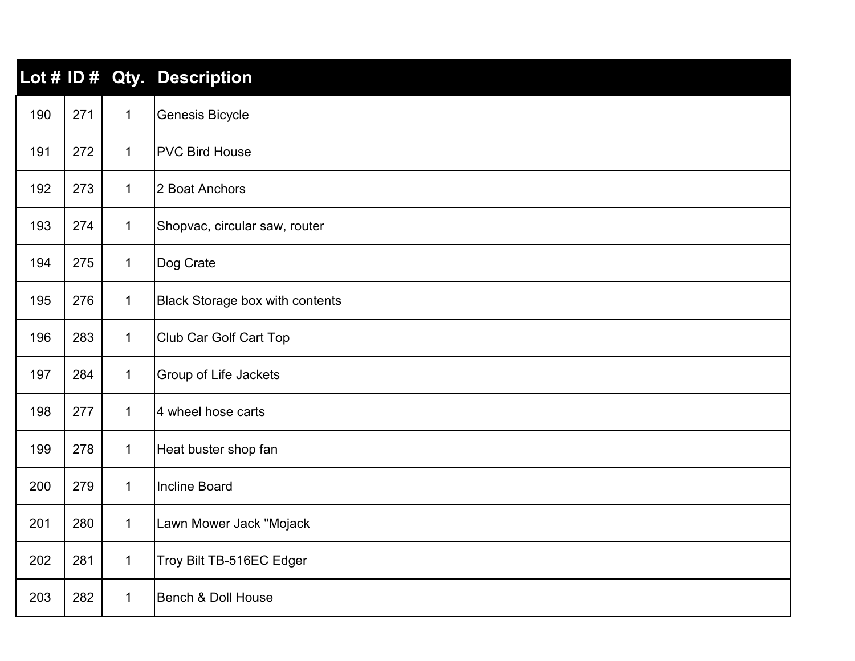|     |     |              | Lot # ID # Qty. Description            |
|-----|-----|--------------|----------------------------------------|
| 190 | 271 | $\mathbf 1$  | Genesis Bicycle                        |
| 191 | 272 | $\mathbf 1$  | <b>PVC Bird House</b>                  |
| 192 | 273 | $\mathbf 1$  | 2 Boat Anchors                         |
| 193 | 274 | $\mathbf 1$  | Shopvac, circular saw, router          |
| 194 | 275 | $\mathbf{1}$ | Dog Crate                              |
| 195 | 276 | $\mathbf{1}$ | <b>Black Storage box with contents</b> |
| 196 | 283 | $\mathbf{1}$ | <b>Club Car Golf Cart Top</b>          |
| 197 | 284 | $\mathbf{1}$ | Group of Life Jackets                  |
| 198 | 277 | $\mathbf{1}$ | 4 wheel hose carts                     |
| 199 | 278 | $\mathbf{1}$ | Heat buster shop fan                   |
| 200 | 279 | $\mathbf 1$  | <b>Incline Board</b>                   |
| 201 | 280 | $\mathbf{1}$ | Lawn Mower Jack "Mojack                |
| 202 | 281 | $\mathbf{1}$ | Troy Bilt TB-516EC Edger               |
| 203 | 282 | $\mathbf{1}$ | <b>Bench &amp; Doll House</b>          |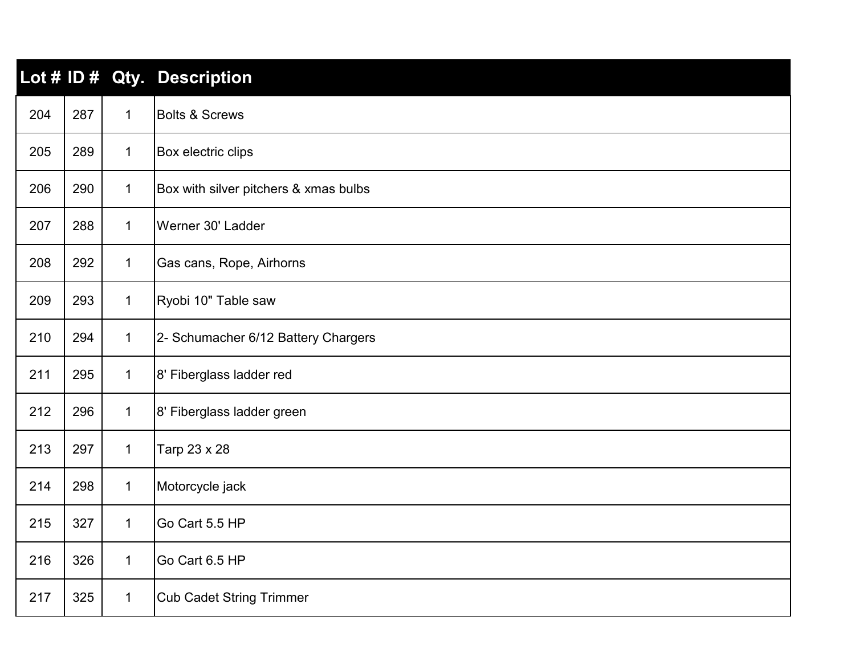|     |     |              | Lot # ID # Qty. Description           |
|-----|-----|--------------|---------------------------------------|
| 204 | 287 | $\mathbf 1$  | <b>Bolts &amp; Screws</b>             |
| 205 | 289 | $\mathbf{1}$ | Box electric clips                    |
| 206 | 290 | $\mathbf{1}$ | Box with silver pitchers & xmas bulbs |
| 207 | 288 | $\mathbf 1$  | Werner 30' Ladder                     |
| 208 | 292 | $\mathbf 1$  | Gas cans, Rope, Airhorns              |
| 209 | 293 | $\mathbf{1}$ | Ryobi 10" Table saw                   |
| 210 | 294 | $\mathbf 1$  | 2- Schumacher 6/12 Battery Chargers   |
| 211 | 295 | $\mathbf 1$  | 8' Fiberglass ladder red              |
| 212 | 296 | $\mathbf{1}$ | 8' Fiberglass ladder green            |
| 213 | 297 | $\mathbf{1}$ | Tarp 23 x 28                          |
| 214 | 298 | $\mathbf{1}$ | Motorcycle jack                       |
| 215 | 327 | $\mathbf{1}$ | Go Cart 5.5 HP                        |
| 216 | 326 | $\mathbf 1$  | Go Cart 6.5 HP                        |
| 217 | 325 | $\mathbf{1}$ | <b>Cub Cadet String Trimmer</b>       |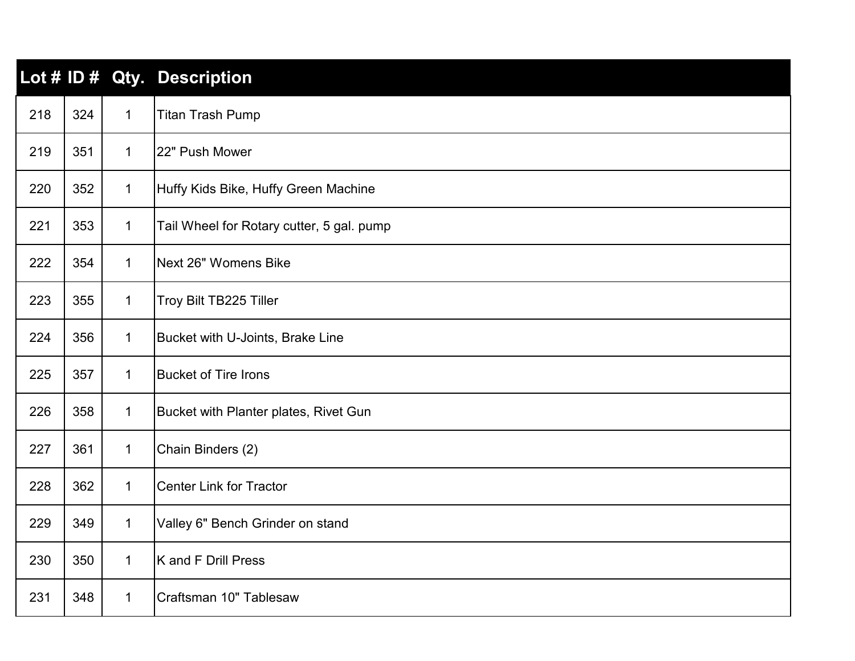|     |     |              | Lot # ID # Qty. Description               |
|-----|-----|--------------|-------------------------------------------|
| 218 | 324 | $\mathbf{1}$ | <b>Titan Trash Pump</b>                   |
| 219 | 351 | $\mathbf{1}$ | 22" Push Mower                            |
| 220 | 352 | $\mathbf 1$  | Huffy Kids Bike, Huffy Green Machine      |
| 221 | 353 | $\mathbf 1$  | Tail Wheel for Rotary cutter, 5 gal. pump |
| 222 | 354 | $\mathbf{1}$ | Next 26" Womens Bike                      |
| 223 | 355 | $\mathbf{1}$ | Troy Bilt TB225 Tiller                    |
| 224 | 356 | $\mathbf{1}$ | Bucket with U-Joints, Brake Line          |
| 225 | 357 | $\mathbf 1$  | <b>Bucket of Tire Irons</b>               |
| 226 | 358 | $\mathbf{1}$ | Bucket with Planter plates, Rivet Gun     |
| 227 | 361 | $\mathbf 1$  | Chain Binders (2)                         |
| 228 | 362 | $\mathbf{1}$ | <b>Center Link for Tractor</b>            |
| 229 | 349 | $\mathbf 1$  | Valley 6" Bench Grinder on stand          |
| 230 | 350 | $\mathbf{1}$ | K and F Drill Press                       |
| 231 | 348 | $\mathbf 1$  | Craftsman 10" Tablesaw                    |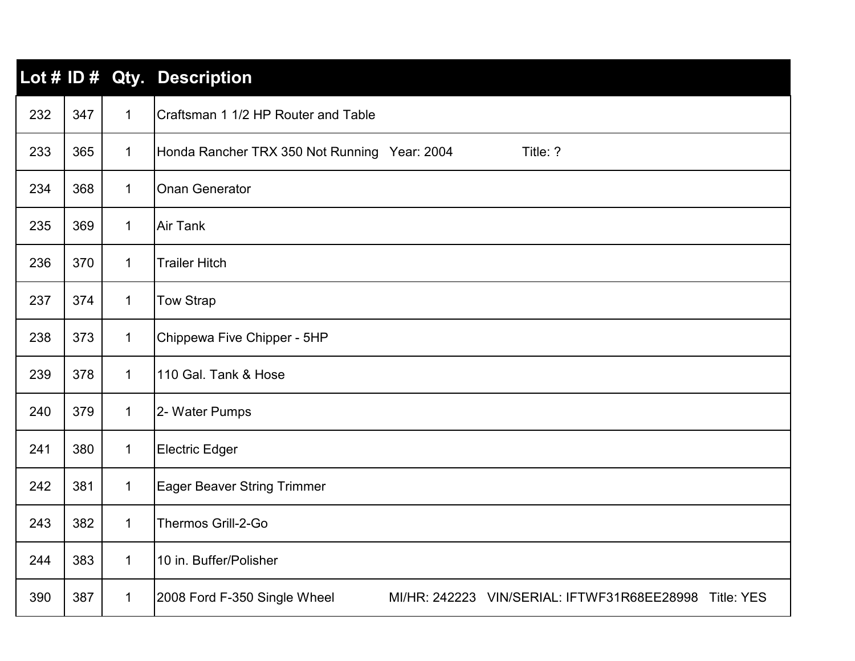|     |     |              | Lot # ID # Qty. Description                                                                      |
|-----|-----|--------------|--------------------------------------------------------------------------------------------------|
| 232 | 347 | $\mathbf{1}$ | Craftsman 1 1/2 HP Router and Table                                                              |
| 233 | 365 | $\mathbf 1$  | Honda Rancher TRX 350 Not Running Year: 2004<br>Title: ?                                         |
| 234 | 368 | $\mathbf 1$  | <b>Onan Generator</b>                                                                            |
| 235 | 369 | $\mathbf{1}$ | <b>Air Tank</b>                                                                                  |
| 236 | 370 | $\mathbf{1}$ | <b>Trailer Hitch</b>                                                                             |
| 237 | 374 | $\mathbf{1}$ | <b>Tow Strap</b>                                                                                 |
| 238 | 373 | $\mathbf 1$  | Chippewa Five Chipper - 5HP                                                                      |
| 239 | 378 | $\mathbf 1$  | 110 Gal. Tank & Hose                                                                             |
| 240 | 379 | $\mathbf{1}$ | 2- Water Pumps                                                                                   |
| 241 | 380 | $\mathbf{1}$ | <b>Electric Edger</b>                                                                            |
| 242 | 381 | $\mathbf{1}$ | <b>Eager Beaver String Trimmer</b>                                                               |
| 243 | 382 | $\mathbf{1}$ | Thermos Grill-2-Go                                                                               |
| 244 | 383 | $\mathbf{1}$ | 10 in. Buffer/Polisher                                                                           |
| 390 | 387 | $\mathbf 1$  | 2008 Ford F-350 Single Wheel<br>MI/HR: 242223 VIN/SERIAL: IFTWF31R68EE28998<br><b>Title: YES</b> |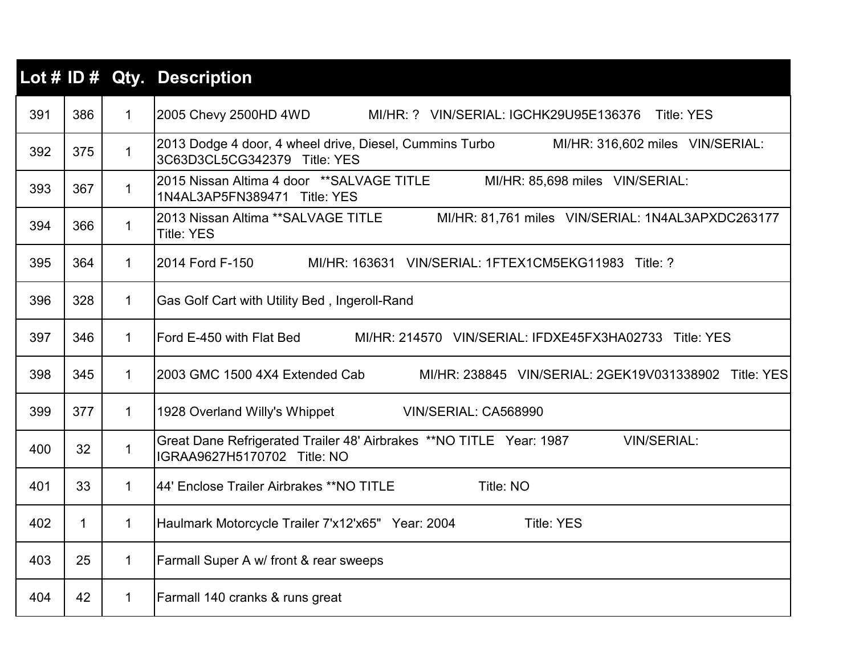|     |             |              | Lot # ID # Qty. Description                                                                                                 |
|-----|-------------|--------------|-----------------------------------------------------------------------------------------------------------------------------|
| 391 | 386         | $\mathbf{1}$ | 2005 Chevy 2500HD 4WD<br>MI/HR: ? VIN/SERIAL: IGCHK29U95E136376 Title: YES                                                  |
| 392 | 375         | $\mathbf{1}$ | 2013 Dodge 4 door, 4 wheel drive, Diesel, Cummins Turbo<br>MI/HR: 316,602 miles VIN/SERIAL:<br>3C63D3CL5CG342379 Title: YES |
| 393 | 367         | $\mathbf{1}$ | 2015 Nissan Altima 4 door **SALVAGE TITLE MI/HR: 85,698 miles VIN/SERIAL:<br>1N4AL3AP5FN389471 Title: YES                   |
| 394 | 366         | $\mathbf{1}$ | 2013 Nissan Altima ** SALVAGE TITLE MI/HR: 81,761 miles VIN/SERIAL: 1N4AL3APXDC263177<br><b>Title: YES</b>                  |
| 395 | 364         | $\mathbf{1}$ | 2014 Ford F-150<br>MI/HR: 163631 VIN/SERIAL: 1FTEX1CM5EKG11983 Title: ?                                                     |
| 396 | 328         | $\mathbf{1}$ | Gas Golf Cart with Utility Bed, Ingeroll-Rand                                                                               |
| 397 | 346         | $\mathbf{1}$ | Ford E-450 with Flat Bed MI/HR: 214570 VIN/SERIAL: IFDXE45FX3HA02733 Title: YES                                             |
| 398 | 345         | $\mathbf{1}$ | 2003 GMC 1500 4X4 Extended Cab MI/HR: 238845 VIN/SERIAL: 2GEK19V031338902 Title: YES                                        |
| 399 | 377         | $\mathbf{1}$ | 1928 Overland Willy's Whippet<br>VIN/SERIAL: CA568990                                                                       |
| 400 | 32          | $\mathbf{1}$ | Great Dane Refrigerated Trailer 48' Airbrakes **NO TITLE Year: 1987<br><b>VIN/SERIAL:</b><br>IGRAA9627H5170702 Title: NO    |
| 401 | 33          | $\mathbf{1}$ | 44' Enclose Trailer Airbrakes ** NO TITLE<br>Title: NO                                                                      |
| 402 | $\mathbf 1$ | $\mathbf{1}$ | Haulmark Motorcycle Trailer 7'x12'x65" Year: 2004<br><b>Title: YES</b>                                                      |
| 403 | 25          | $\mathbf{1}$ | Farmall Super A w/ front & rear sweeps                                                                                      |
| 404 | 42          | $\mathbf{1}$ | Farmall 140 cranks & runs great                                                                                             |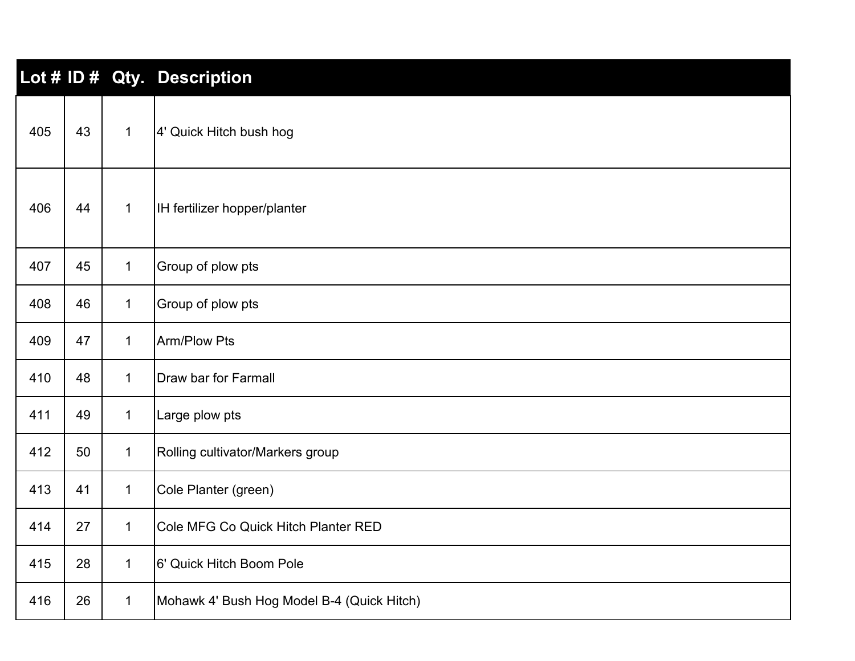|     |    |              | Lot # ID # Qty. Description                |
|-----|----|--------------|--------------------------------------------|
| 405 | 43 | $\mathbf{1}$ | 4' Quick Hitch bush hog                    |
| 406 | 44 | $\mathbf{1}$ | IH fertilizer hopper/planter               |
| 407 | 45 | $\mathbf{1}$ | Group of plow pts                          |
| 408 | 46 | $\mathbf 1$  | Group of plow pts                          |
| 409 | 47 | $\mathbf 1$  | Arm/Plow Pts                               |
| 410 | 48 | $\mathbf 1$  | <b>Draw bar for Farmall</b>                |
| 411 | 49 | $\mathbf{1}$ | Large plow pts                             |
| 412 | 50 | $\mathbf 1$  | Rolling cultivator/Markers group           |
| 413 | 41 | $\mathbf{1}$ | Cole Planter (green)                       |
| 414 | 27 | $\mathbf{1}$ | Cole MFG Co Quick Hitch Planter RED        |
| 415 | 28 | $\mathbf 1$  | 6' Quick Hitch Boom Pole                   |
| 416 | 26 | $\mathbf{1}$ | Mohawk 4' Bush Hog Model B-4 (Quick Hitch) |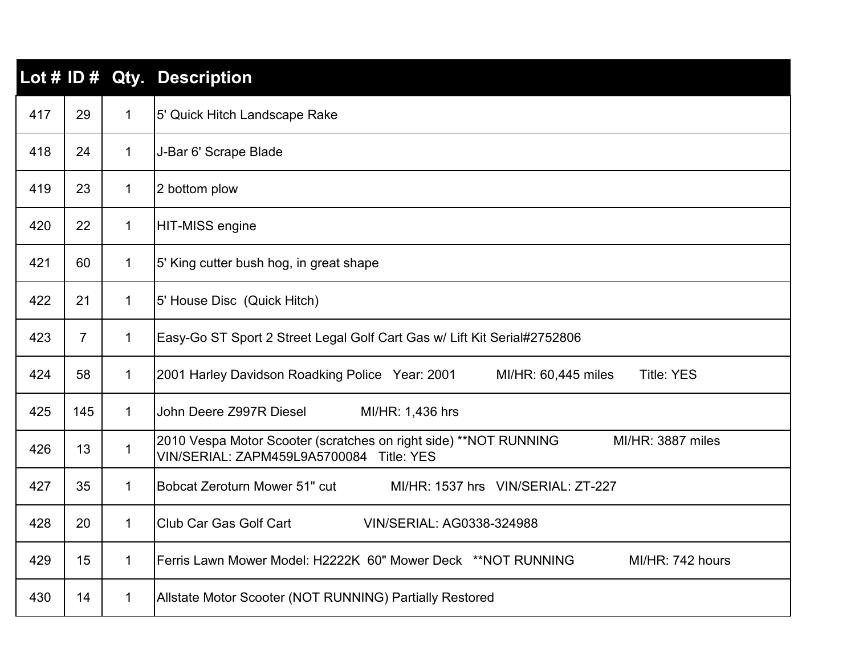|     |                |              | Lot # ID # Qty. Description                                                                                                        |
|-----|----------------|--------------|------------------------------------------------------------------------------------------------------------------------------------|
| 417 | 29             | $\mathbf 1$  | 5' Quick Hitch Landscape Rake                                                                                                      |
| 418 | 24             | $\mathbf{1}$ | J-Bar 6' Scrape Blade                                                                                                              |
| 419 | 23             | $\mathbf{1}$ | 2 bottom plow                                                                                                                      |
| 420 | 22             | $\mathbf 1$  | HIT-MISS engine                                                                                                                    |
| 421 | 60             | $\mathbf{1}$ | 5' King cutter bush hog, in great shape                                                                                            |
| 422 | 21             | $\mathbf 1$  | 5' House Disc (Quick Hitch)                                                                                                        |
| 423 | $\overline{7}$ | $\mathbf{1}$ | Easy-Go ST Sport 2 Street Legal Golf Cart Gas w/ Lift Kit Serial#2752806                                                           |
| 424 | 58             | $\mathbf 1$  | 2001 Harley Davidson Roadking Police Year: 2001<br><b>Title: YES</b><br>MI/HR: 60,445 miles                                        |
| 425 | 145            | $\mathbf 1$  | John Deere Z997R Diesel<br>MI/HR: 1,436 hrs                                                                                        |
| 426 | 13             | $\mathbf{1}$ | 2010 Vespa Motor Scooter (scratches on right side) ** NOT RUNNING<br>MI/HR: 3887 miles<br>VIN/SERIAL: ZAPM459L9A5700084 Title: YES |
| 427 | 35             | $\mathbf{1}$ | Bobcat Zeroturn Mower 51" cut<br>MI/HR: 1537 hrs VIN/SERIAL: ZT-227                                                                |
| 428 | 20             | $\mathbf 1$  | <b>Club Car Gas Golf Cart</b><br>VIN/SERIAL: AG0338-324988                                                                         |
| 429 | 15             | $\mathbf 1$  | Ferris Lawn Mower Model: H2222K 60" Mower Deck **NOT RUNNING<br>MI/HR: 742 hours                                                   |
| 430 | 14             | $\mathbf{1}$ | Allstate Motor Scooter (NOT RUNNING) Partially Restored                                                                            |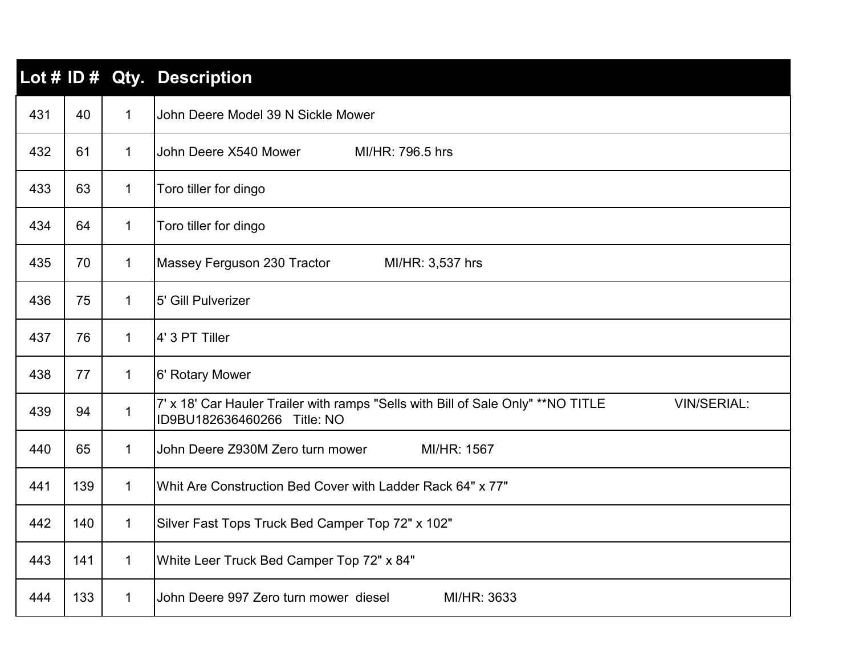|     |     |              | Lot # ID # Qty. Description                                                                                                            |
|-----|-----|--------------|----------------------------------------------------------------------------------------------------------------------------------------|
| 431 | 40  | $\mathbf{1}$ | John Deere Model 39 N Sickle Mower                                                                                                     |
| 432 | 61  | $\mathbf 1$  | John Deere X540 Mower<br>MI/HR: 796.5 hrs                                                                                              |
| 433 | 63  | $\mathbf{1}$ | Toro tiller for dingo                                                                                                                  |
| 434 | 64  | $\mathbf 1$  | Toro tiller for dingo                                                                                                                  |
| 435 | 70  | $\mathbf 1$  | Massey Ferguson 230 Tractor<br>MI/HR: 3,537 hrs                                                                                        |
| 436 | 75  | $\mathbf{1}$ | 5' Gill Pulverizer                                                                                                                     |
| 437 | 76  | $\mathbf{1}$ | 4' 3 PT Tiller                                                                                                                         |
| 438 | 77  | $\mathbf 1$  | 6' Rotary Mower                                                                                                                        |
| 439 | 94  | $\mathbf 1$  | 7' x 18' Car Hauler Trailer with ramps "Sells with Bill of Sale Only" ** NO TITLE<br><b>VIN/SERIAL:</b><br>ID9BU182636460266 Title: NO |
| 440 | 65  | $\mathbf{1}$ | John Deere Z930M Zero turn mower<br>MI/HR: 1567                                                                                        |
| 441 | 139 | $\mathbf 1$  | Whit Are Construction Bed Cover with Ladder Rack 64" x 77"                                                                             |
| 442 | 140 | $\mathbf 1$  | Silver Fast Tops Truck Bed Camper Top 72" x 102"                                                                                       |
| 443 | 141 | $\mathbf{1}$ | White Leer Truck Bed Camper Top 72" x 84"                                                                                              |
| 444 | 133 | $\mathbf 1$  | John Deere 997 Zero turn mower diesel<br>MI/HR: 3633                                                                                   |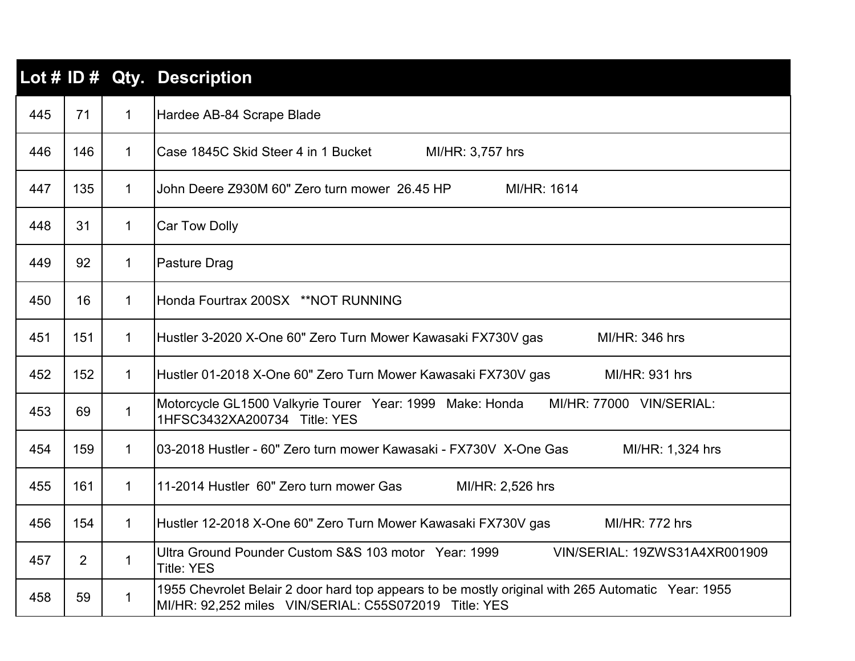|     |                |              | Lot # ID # Qty. Description                                                                                                                                |
|-----|----------------|--------------|------------------------------------------------------------------------------------------------------------------------------------------------------------|
| 445 | 71             | $\mathbf{1}$ | Hardee AB-84 Scrape Blade                                                                                                                                  |
| 446 | 146            | $\mathbf{1}$ | Case 1845C Skid Steer 4 in 1 Bucket<br>MI/HR: 3,757 hrs                                                                                                    |
| 447 | 135            | $\mathbf 1$  | John Deere Z930M 60" Zero turn mower 26.45 HP<br>MI/HR: 1614                                                                                               |
| 448 | 31             | $\mathbf{1}$ | <b>Car Tow Dolly</b>                                                                                                                                       |
| 449 | 92             | $\mathbf{1}$ | Pasture Drag                                                                                                                                               |
| 450 | 16             | $\mathbf{1}$ | Honda Fourtrax 200SX **NOT RUNNING                                                                                                                         |
| 451 | 151            | $\mathbf{1}$ | Hustler 3-2020 X-One 60" Zero Turn Mower Kawasaki FX730V gas<br>MI/HR: 346 hrs                                                                             |
| 452 | 152            | $\mathbf 1$  | Hustler 01-2018 X-One 60" Zero Turn Mower Kawasaki FX730V gas<br><b>MI/HR: 931 hrs</b>                                                                     |
| 453 | 69             | $\mathbf{1}$ | Motorcycle GL1500 Valkyrie Tourer Year: 1999 Make: Honda<br>MI/HR: 77000 VIN/SERIAL:<br>1HFSC3432XA200734 Title: YES                                       |
| 454 | 159            | $\mathbf 1$  | 03-2018 Hustler - 60" Zero turn mower Kawasaki - FX730V X-One Gas<br>MI/HR: 1,324 hrs                                                                      |
| 455 | 161            | $\mathbf{1}$ | 11-2014 Hustler 60" Zero turn mower Gas<br>MI/HR: 2,526 hrs                                                                                                |
| 456 | 154            | $\mathbf{1}$ | Hustler 12-2018 X-One 60" Zero Turn Mower Kawasaki FX730V gas<br>MI/HR: 772 hrs                                                                            |
| 457 | $\overline{2}$ | $\mathbf{1}$ | Ultra Ground Pounder Custom S&S 103 motor Year: 1999<br>VIN/SERIAL: 19ZWS31A4XR001909<br><b>Title: YES</b>                                                 |
| 458 | 59             | 1            | 1955 Chevrolet Belair 2 door hard top appears to be mostly original with 265 Automatic Year: 1955<br>MI/HR: 92,252 miles VIN/SERIAL: C55S072019 Title: YES |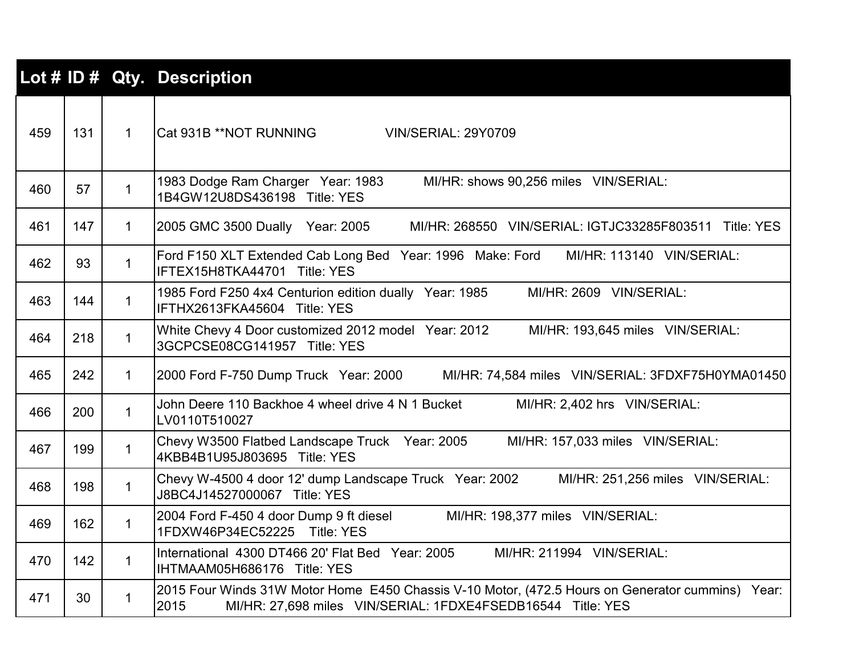|     |     |              | Lot # ID # Qty. Description                                                                                                                                             |
|-----|-----|--------------|-------------------------------------------------------------------------------------------------------------------------------------------------------------------------|
| 459 | 131 | $\mathbf{1}$ | lCat 931B **NOT RUNNING<br><b>VIN/SERIAL: 29Y0709</b>                                                                                                                   |
| 460 | 57  | $\mathbf{1}$ | 1983 Dodge Ram Charger Year: 1983<br>MI/HR: shows 90,256 miles VIN/SERIAL:<br>1B4GW12U8DS436198 Title: YES                                                              |
| 461 | 147 | $\mathbf{1}$ | 2005 GMC 3500 Dually Year: 2005<br>MI/HR: 268550 VIN/SERIAL: IGTJC33285F803511 Title: YES                                                                               |
| 462 | 93  | $\mathbf{1}$ | Ford F150 XLT Extended Cab Long Bed Year: 1996 Make: Ford<br>MI/HR: 113140 VIN/SERIAL:<br>IFTEX15H8TKA44701 Title: YES                                                  |
| 463 | 144 | $\mathbf{1}$ | MI/HR: 2609 VIN/SERIAL:<br>1985 Ford F250 4x4 Centurion edition dually Year: 1985<br>IFTHX2613FKA45604 Title: YES                                                       |
| 464 | 218 | $\mathbf{1}$ | White Chevy 4 Door customized 2012 model Year: 2012<br>MI/HR: 193,645 miles VIN/SERIAL:<br>3GCPCSE08CG141957 Title: YES                                                 |
| 465 | 242 | $\mathbf{1}$ | 2000 Ford F-750 Dump Truck Year: 2000<br>MI/HR: 74,584 miles VIN/SERIAL: 3FDXF75H0YMA01450                                                                              |
| 466 | 200 | $\mathbf{1}$ | John Deere 110 Backhoe 4 wheel drive 4 N 1 Bucket<br>MI/HR: 2,402 hrs VIN/SERIAL:<br>LV0110T510027                                                                      |
| 467 | 199 | $\mathbf{1}$ | Chevy W3500 Flatbed Landscape Truck Year: 2005<br>MI/HR: 157,033 miles VIN/SERIAL:<br>4KBB4B1U95J803695 Title: YES                                                      |
| 468 | 198 | $\mathbf{1}$ | Chevy W-4500 4 door 12' dump Landscape Truck Year: 2002<br>MI/HR: 251,256 miles VIN/SERIAL:<br>J8BC4J14527000067 Title: YES                                             |
| 469 | 162 | $\mathbf{1}$ | 2004 Ford F-450 4 door Dump 9 ft diesel<br>MI/HR: 198,377 miles VIN/SERIAL:<br>1FDXW46P34EC52225 Title: YES                                                             |
| 470 | 142 | $\mathbf{1}$ | International 4300 DT466 20' Flat Bed Year: 2005<br>MI/HR: 211994 VIN/SERIAL:<br>IHTMAAM05H686176 Title: YES                                                            |
| 471 | 30  | $\mathbf 1$  | 2015 Four Winds 31W Motor Home E450 Chassis V-10 Motor, (472.5 Hours on Generator cummins) Year:<br>MI/HR: 27,698 miles VIN/SERIAL: 1FDXE4FSEDB16544 Title: YES<br>2015 |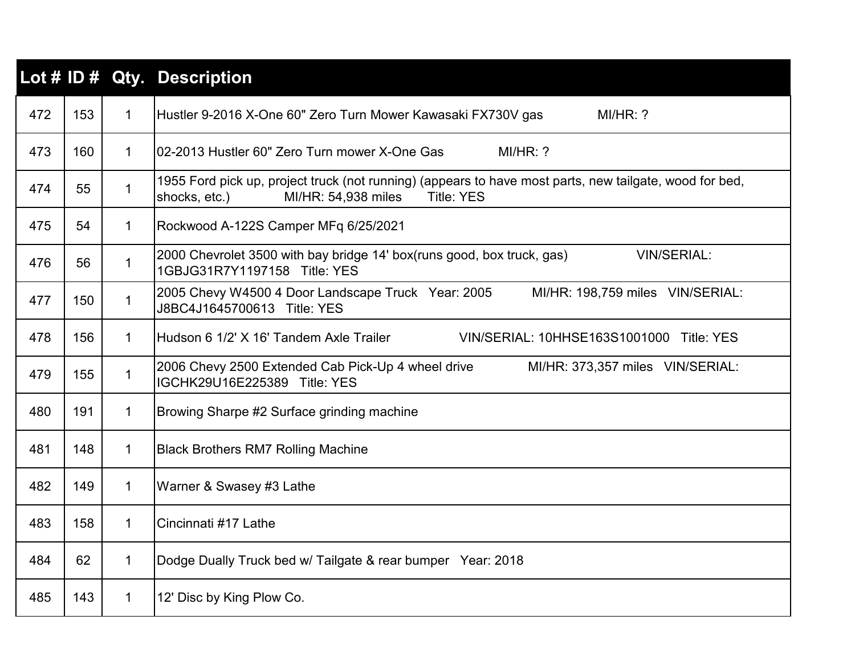|     |     |              | Lot # ID # Qty. Description                                                                                                                                          |
|-----|-----|--------------|----------------------------------------------------------------------------------------------------------------------------------------------------------------------|
| 472 | 153 | $\mathbf{1}$ | Hustler 9-2016 X-One 60" Zero Turn Mower Kawasaki FX730V gas<br>MI/HR: ?                                                                                             |
| 473 | 160 | $\mathbf{1}$ | I02-2013 Hustler 60" Zero Turn mower X-One Gas<br>MI/HR: ?                                                                                                           |
| 474 | 55  | $\mathbf{1}$ | 1955 Ford pick up, project truck (not running) (appears to have most parts, new tailgate, wood for bed,<br>shocks, etc.)<br>MI/HR: 54,938 miles<br><b>Title: YES</b> |
| 475 | 54  | 1            | Rockwood A-122S Camper MFq 6/25/2021                                                                                                                                 |
| 476 | 56  | 1            | 2000 Chevrolet 3500 with bay bridge 14' box(runs good, box truck, gas)<br><b>VIN/SERIAL:</b><br>1GBJG31R7Y1197158 Title: YES                                         |
| 477 | 150 | $\mathbf 1$  | 2005 Chevy W4500 4 Door Landscape Truck Year: 2005<br>MI/HR: 198,759 miles VIN/SERIAL:<br>J8BC4J1645700613 Title: YES                                                |
| 478 | 156 | $\mathbf{1}$ | Hudson 6 1/2' X 16' Tandem Axle Trailer<br>VIN/SERIAL: 10HHSE163S1001000 Title: YES                                                                                  |
| 479 | 155 | $\mathbf{1}$ | 2006 Chevy 2500 Extended Cab Pick-Up 4 wheel drive<br>MI/HR: 373,357 miles VIN/SERIAL:<br>IGCHK29U16E225389 Title: YES                                               |
| 480 | 191 | $\mathbf 1$  | Browing Sharpe #2 Surface grinding machine                                                                                                                           |
| 481 | 148 | $\mathbf 1$  | <b>Black Brothers RM7 Rolling Machine</b>                                                                                                                            |
| 482 | 149 | $\mathbf 1$  | Warner & Swasey #3 Lathe                                                                                                                                             |
| 483 | 158 | $\mathbf{1}$ | Cincinnati #17 Lathe                                                                                                                                                 |
| 484 | 62  | $\mathbf 1$  | Dodge Dually Truck bed w/ Tailgate & rear bumper Year: 2018                                                                                                          |
| 485 | 143 | $\mathbf 1$  | 12' Disc by King Plow Co.                                                                                                                                            |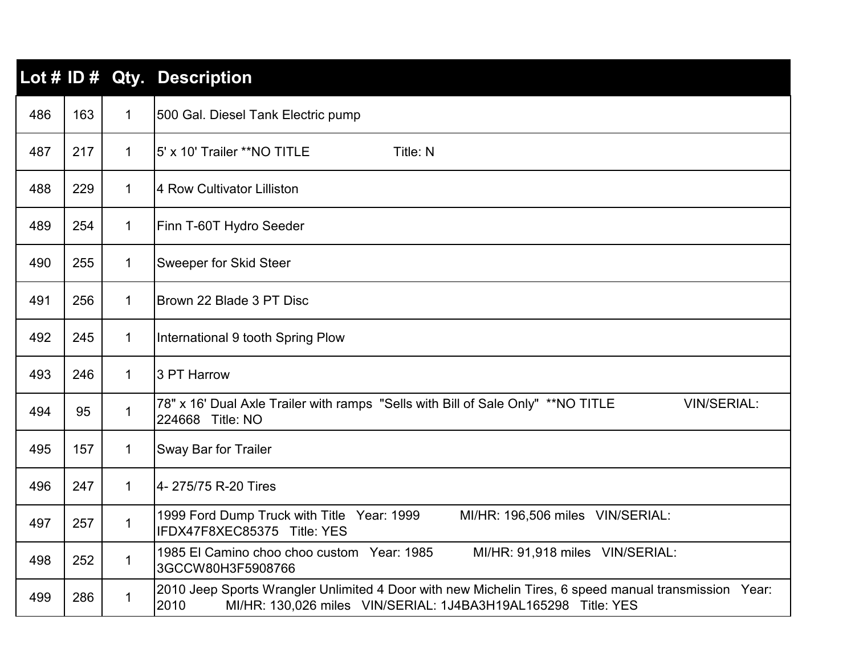|     |     |              | Lot # ID # Qty. Description                                                                                                                                                    |
|-----|-----|--------------|--------------------------------------------------------------------------------------------------------------------------------------------------------------------------------|
| 486 | 163 | $\mathbf{1}$ | 500 Gal. Diesel Tank Electric pump                                                                                                                                             |
| 487 | 217 | $\mathbf{1}$ | 15' x 10' Trailer **NO TITLE<br>Title: N                                                                                                                                       |
| 488 | 229 | $\mathbf 1$  | 4 Row Cultivator Lilliston                                                                                                                                                     |
| 489 | 254 | $\mathbf 1$  | Finn T-60T Hydro Seeder                                                                                                                                                        |
| 490 | 255 | $\mathbf{1}$ | <b>Sweeper for Skid Steer</b>                                                                                                                                                  |
| 491 | 256 | $\mathbf{1}$ | Brown 22 Blade 3 PT Disc                                                                                                                                                       |
| 492 | 245 | $\mathbf 1$  | International 9 tooth Spring Plow                                                                                                                                              |
| 493 | 246 | $\mathbf{1}$ | 3 PT Harrow                                                                                                                                                                    |
| 494 | 95  | $\mathbf{1}$ | 78" x 16' Dual Axle Trailer with ramps "Sells with Bill of Sale Only" ** NO TITLE<br><b>VIN/SERIAL:</b><br>224668 Title: NO                                                    |
| 495 | 157 | $\mathbf{1}$ | <b>Sway Bar for Trailer</b>                                                                                                                                                    |
| 496 | 247 | $\mathbf{1}$ | 4-275/75 R-20 Tires                                                                                                                                                            |
| 497 | 257 | $\mathbf 1$  | 1999 Ford Dump Truck with Title Year: 1999<br>MI/HR: 196,506 miles VIN/SERIAL:<br>IFDX47F8XEC85375 Title: YES                                                                  |
| 498 | 252 | $\mathbf{1}$ | MI/HR: 91,918 miles VIN/SERIAL:<br>1985 El Camino choo choo custom Year: 1985<br>3GCCW80H3F5908766                                                                             |
| 499 | 286 | $\mathbf 1$  | 2010 Jeep Sports Wrangler Unlimited 4 Door with new Michelin Tires, 6 speed manual transmission Year:<br>MI/HR: 130,026 miles VIN/SERIAL: 1J4BA3H19AL165298 Title: YES<br>2010 |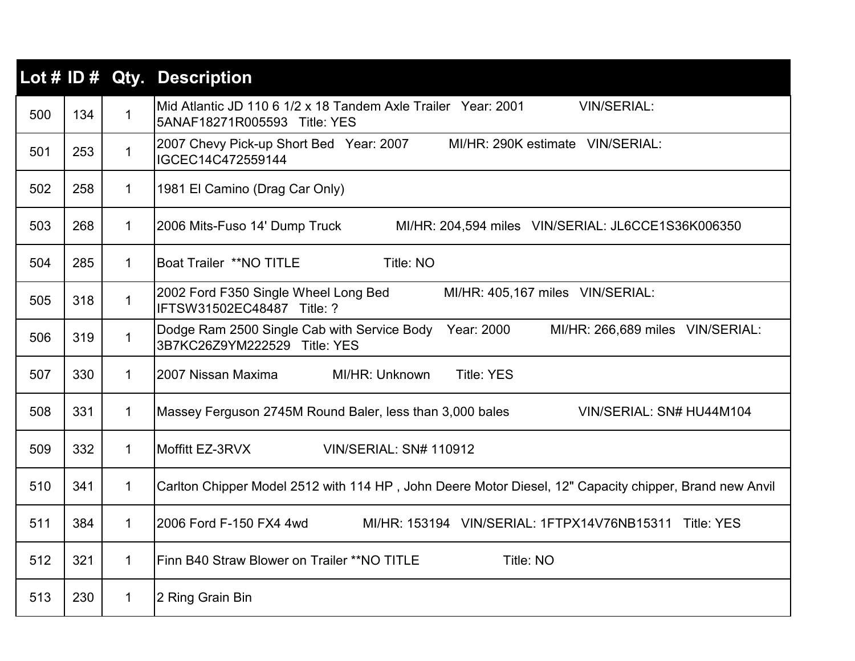|     |     |              | Lot # ID # Qty. Description                                                                                                   |
|-----|-----|--------------|-------------------------------------------------------------------------------------------------------------------------------|
| 500 | 134 | $\mathbf{1}$ | Mid Atlantic JD 110 6 1/2 x 18 Tandem Axle Trailer Year: 2001<br><b>VIN/SERIAL:</b><br>5ANAF18271R005593 Title: YES           |
| 501 | 253 | $\mathbf 1$  | 2007 Chevy Pick-up Short Bed Year: 2007<br>MI/HR: 290K estimate VIN/SERIAL:<br>IGCEC14C472559144                              |
| 502 | 258 | $\mathbf{1}$ | 1981 El Camino (Drag Car Only)                                                                                                |
| 503 | 268 | 1            | 2006 Mits-Fuso 14' Dump Truck<br>MI/HR: 204,594 miles VIN/SERIAL: JL6CCE1S36K006350                                           |
| 504 | 285 | $\mathbf{1}$ | <b>Boat Trailer **NO TITLE</b><br>Title: NO                                                                                   |
| 505 | 318 | $\mathbf{1}$ | 2002 Ford F350 Single Wheel Long Bed<br>MI/HR: 405,167 miles VIN/SERIAL:<br>IFTSW31502EC48487 Title: ?                        |
| 506 | 319 | $\mathbf{1}$ | Dodge Ram 2500 Single Cab with Service Body<br>Year: 2000<br>MI/HR: 266,689 miles VIN/SERIAL:<br>3B7KC26Z9YM222529 Title: YES |
| 507 | 330 | 1            | 2007 Nissan Maxima<br>MI/HR: Unknown<br><b>Title: YES</b>                                                                     |
| 508 | 331 | $\mathbf{1}$ | Massey Ferguson 2745M Round Baler, less than 3,000 bales<br>VIN/SERIAL: SN# HU44M104                                          |
| 509 | 332 | $\mathbf{1}$ | Moffitt EZ-3RVX<br><b>VIN/SERIAL: SN# 110912</b>                                                                              |
| 510 | 341 | $\mathbf{1}$ | Carlton Chipper Model 2512 with 114 HP, John Deere Motor Diesel, 12" Capacity chipper, Brand new Anvil                        |
| 511 | 384 | $\mathbf 1$  | 2006 Ford F-150 FX4 4wd<br>MI/HR: 153194 VIN/SERIAL: 1FTPX14V76NB15311 Title: YES                                             |
| 512 | 321 | $\mathbf 1$  | Finn B40 Straw Blower on Trailer ** NO TITLE<br>Title: NO                                                                     |
| 513 | 230 | 1            | 2 Ring Grain Bin                                                                                                              |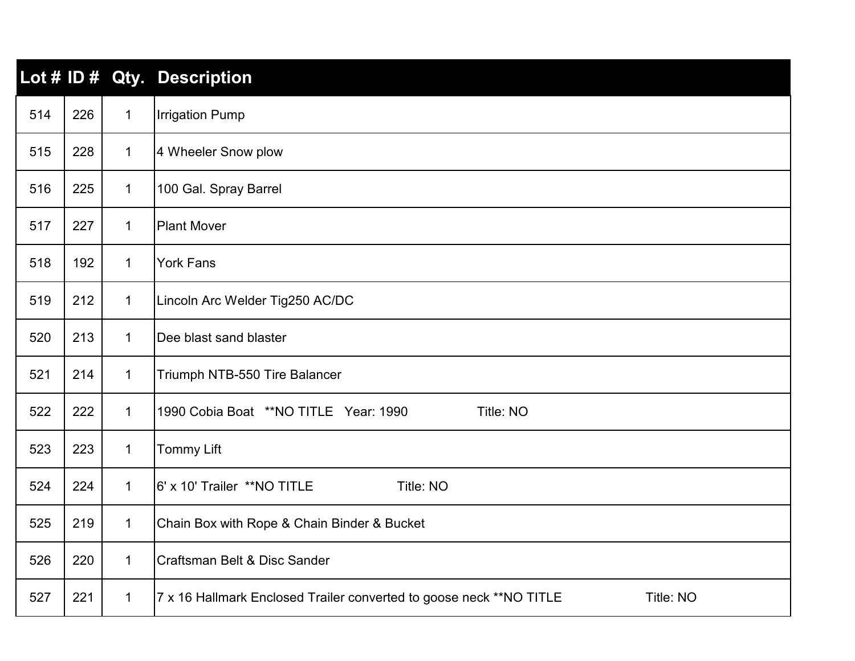|     |     |              | Lot # ID # Qty. Description                                                       |
|-----|-----|--------------|-----------------------------------------------------------------------------------|
| 514 | 226 | $\mathbf{1}$ | <b>Irrigation Pump</b>                                                            |
| 515 | 228 | $\mathbf{1}$ | 4 Wheeler Snow plow                                                               |
| 516 | 225 | $\mathbf{1}$ | 100 Gal. Spray Barrel                                                             |
| 517 | 227 | $\mathbf{1}$ | <b>Plant Mover</b>                                                                |
| 518 | 192 | $\mathbf{1}$ | <b>York Fans</b>                                                                  |
| 519 | 212 | $\mathbf{1}$ | Lincoln Arc Welder Tig250 AC/DC                                                   |
| 520 | 213 | $\mathbf 1$  | Dee blast sand blaster                                                            |
| 521 | 214 | $\mathbf{1}$ | Triumph NTB-550 Tire Balancer                                                     |
| 522 | 222 | $\mathbf 1$  | 1990 Cobia Boat **NO TITLE Year: 1990<br>Title: NO                                |
| 523 | 223 | $\mathbf 1$  | <b>Tommy Lift</b>                                                                 |
| 524 | 224 | $\mathbf{1}$ | 6' x 10' Trailer **NO TITLE<br>Title: NO                                          |
| 525 | 219 | $\mathbf{1}$ | Chain Box with Rope & Chain Binder & Bucket                                       |
| 526 | 220 | $\mathbf{1}$ | Craftsman Belt & Disc Sander                                                      |
| 527 | 221 | $\mathbf{1}$ | 7 x 16 Hallmark Enclosed Trailer converted to goose neck ** NO TITLE<br>Title: NO |